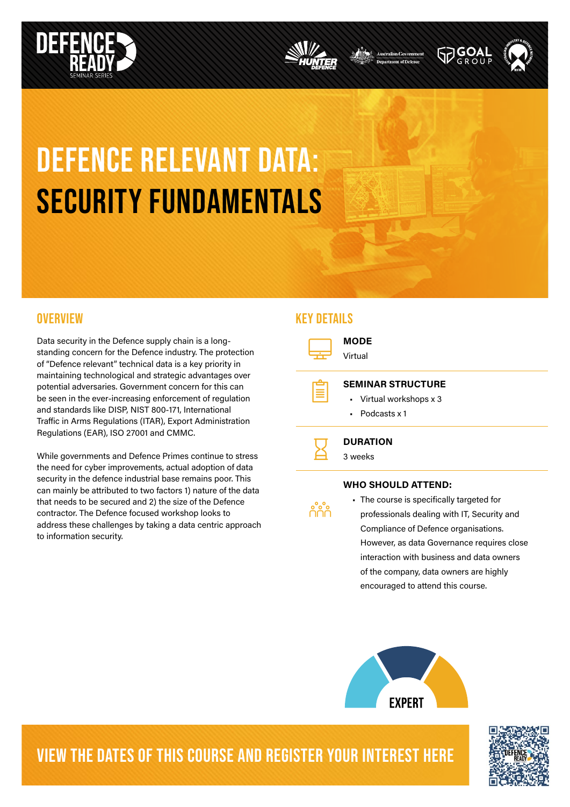





# DEFENCE relevant data: SECURITY FUNDAMENTALS

Data security in the Defence supply chain is a longstanding concern for the Defence industry. The protection of "Defence relevant" technical data is a key priority in maintaining technological and strategic advantages over potential adversaries. Government concern for this can be seen in the ever-increasing enforcement of regulation and standards like DISP, NIST 800-171, International Traffic in Arms Regulations (ITAR), Export Administration Regulations (EAR), ISO 27001 and CMMC.

While governments and Defence Primes continue to stress the need for cyber improvements, actual adoption of data security in the defence industrial base remains poor. This can mainly be attributed to two factors 1) nature of the data that needs to be secured and 2) the size of the Defence contractor. The Defence focused workshop looks to address these challenges by taking a data centric approach to information security.

### OVERVIEW A SUBSEXUAL CONTRACT OF THE SERVICE WAS ARRESTED FOR A SUBSEXUAL CONTRACT OF THE SERVICE OF THE SERVICE OF THE SERVICE OF THE SERVICE OF THE SERVICE OF THE SERVICE OF THE SERVICE OF THE SERVICE OF THE SERVICE OF T



### WHO SHOULD ATTEND:

- e<mark>°e°</mark>e<br>UUU
- The course is specifically targeted for professionals dealing with IT, Security and Compliance of Defence organisations. However, as data Governance requires close interaction with business and data owners of the company, data owners are highly encouraged to attend this course.



### VIEW THE DATES OF THIS COURSE AND REGISTER YOUR INTEREST HERE

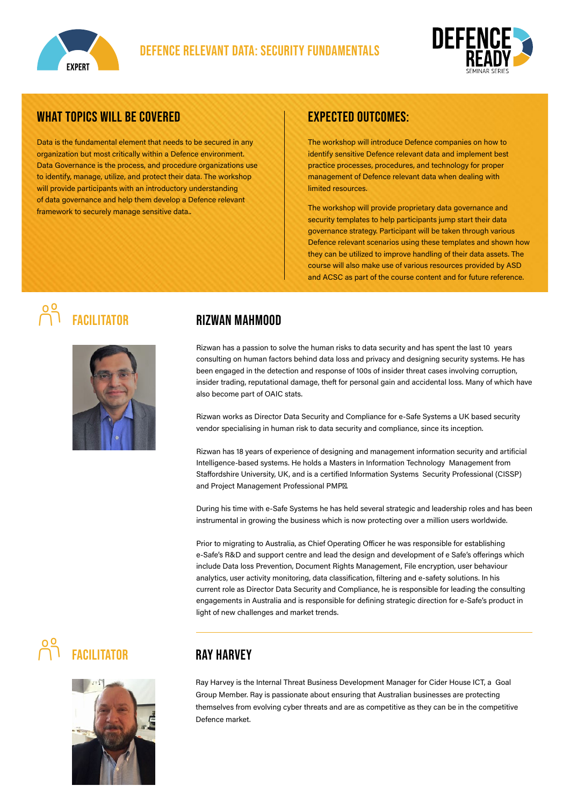



### WHAT TOPICS WILL BE COVERED

Data is the fundamental element that needs to be secured in any organization but most critically within a Defence environment. Data Governance is the process, and procedure organizations use to identify, manage, utilize, and protect their data. The workshop will provide participants with an introductory understanding of data governance and help them develop a Defence relevant framework to securely manage sensitive data..

### expected outcomes:

The workshop will introduce Defence companies on how to identify sensitive Defence relevant data and implement best practice processes, procedures, and technology for proper management of Defence relevant data when dealing with limited resources.

The workshop will provide proprietary data governance and security templates to help participants jump start their data governance strategy. Participant will be taken through various Defence relevant scenarios using these templates and shown how they can be utilized to improve handling of their data assets. The course will also make use of various resources provided by ASD and ACSC as part of the course content and for future reference.



### FACII ITATOR RIZWAN MAHMOOD

Rizwan has a passion to solve the human risks to data security and has spent the last 10 years consulting on human factors behind data loss and privacy and designing security systems. He has been engaged in the detection and response of 100s of insider threat cases involving corruption, insider trading, reputational damage, theft for personal gain and accidental loss. Many of which have also become part of OAIC stats.

Rizwan works as Director Data Security and Compliance for e-Safe Systems a UK based security vendor specialising in human risk to data security and compliance, since its inception.

Rizwan has 18 years of experience of designing and management information security and artificial Intelligence-based systems. He holds a Masters in Information Technology Management from Staffordshire University, UK, and is a certified Information Systems Security Professional (CISSP) and Project Management Professional PMP®.

During his time with e-Safe Systems he has held several strategic and leadership roles and has been instrumental in growing the business which is now protecting over a million users worldwide.

Prior to migrating to Australia, as Chief Operating Officer he was responsible for establishing e-Safe's R&D and support centre and lead the design and development of e Safe's offerings which include Data loss Prevention, Document Rights Management, File encryption, user behaviour analytics, user activity monitoring, data classification, filtering and e-safety solutions. In his current role as Director Data Security and Compliance, he is responsible for leading the consulting engagements in Australia and is responsible for defining strategic direction for e-Safe's product in light of new challenges and market trends.

# **POP FACILITATOR RAY HARVEY**



Ray Harvey is the Internal Threat Business Development Manager for Cider House ICT, a Goal Group Member. Ray is passionate about ensuring that Australian businesses are protecting themselves from evolving cyber threats and are as competitive as they can be in the competitive Defence market.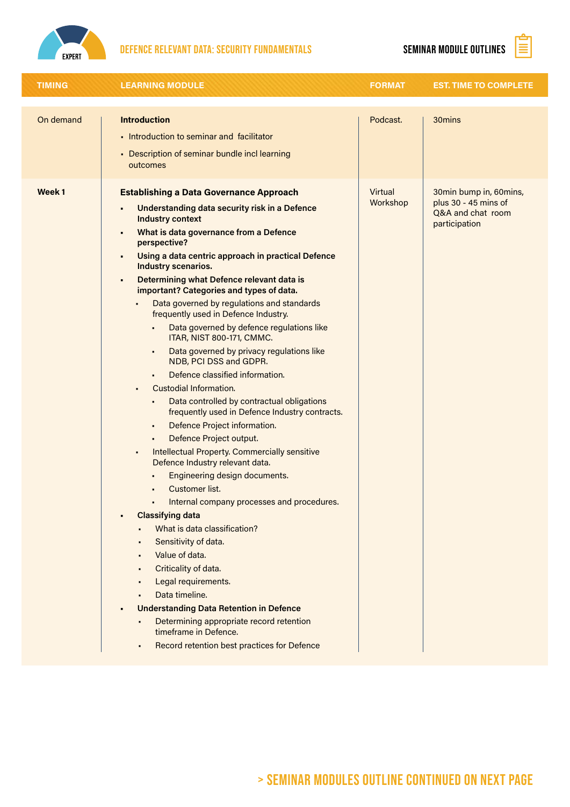

# DEFENCE RELEVANT DATA: SECURITY FUNDAMENTALS SEMINAR MODULE OUTLINES  $\boxed{\mathbf{\hat{\Xi}}}$



| <b>TIMING</b> | <b>LEARNING MODULE</b>                                                                                                                                                                                                                                                                                                                                                                                                                                                                                                                                                                                                                                                                                                                                                                                                                                                                                                                                                                                                                                                                                                                                                                                                                                                                                                                                                                                                                                   | <b>FORMAT</b>       | <b>EST. TIME TO COMPLETE</b>                                                         |
|---------------|----------------------------------------------------------------------------------------------------------------------------------------------------------------------------------------------------------------------------------------------------------------------------------------------------------------------------------------------------------------------------------------------------------------------------------------------------------------------------------------------------------------------------------------------------------------------------------------------------------------------------------------------------------------------------------------------------------------------------------------------------------------------------------------------------------------------------------------------------------------------------------------------------------------------------------------------------------------------------------------------------------------------------------------------------------------------------------------------------------------------------------------------------------------------------------------------------------------------------------------------------------------------------------------------------------------------------------------------------------------------------------------------------------------------------------------------------------|---------------------|--------------------------------------------------------------------------------------|
| On demand     | <b>Introduction</b><br>• Introduction to seminar and facilitator<br>• Description of seminar bundle incl learning<br>outcomes                                                                                                                                                                                                                                                                                                                                                                                                                                                                                                                                                                                                                                                                                                                                                                                                                                                                                                                                                                                                                                                                                                                                                                                                                                                                                                                            | Podcast.            | 30mins                                                                               |
| Week 1        | <b>Establishing a Data Governance Approach</b><br>Understanding data security risk in a Defence<br><b>Industry context</b><br>What is data governance from a Defence<br>perspective?<br>Using a data centric approach in practical Defence<br>Industry scenarios.<br>Determining what Defence relevant data is<br>important? Categories and types of data.<br>Data governed by regulations and standards<br>frequently used in Defence Industry.<br>Data governed by defence regulations like<br>$\blacksquare$<br>ITAR, NIST 800-171, CMMC.<br>Data governed by privacy regulations like<br>٠<br>NDB, PCI DSS and GDPR.<br>Defence classified information.<br>٠<br>Custodial Information.<br>Data controlled by contractual obligations<br>frequently used in Defence Industry contracts.<br>Defence Project information.<br>$\blacksquare$<br>Defence Project output.<br>$\blacksquare$<br><b>Intellectual Property. Commercially sensitive</b><br>٠<br>Defence Industry relevant data.<br>Engineering design documents.<br>Customer list.<br>Internal company processes and procedures.<br><b>Classifying data</b><br>What is data classification?<br>Sensitivity of data.<br>Value of data.<br>Criticality of data.<br>Legal requirements.<br>Data timeline.<br><b>Understanding Data Retention in Defence</b><br>Determining appropriate record retention<br>$\blacksquare$<br>timeframe in Defence.<br>Record retention best practices for Defence | Virtual<br>Workshop | 30min bump in, 60mins,<br>plus 30 - 45 mins of<br>Q&A and chat room<br>participation |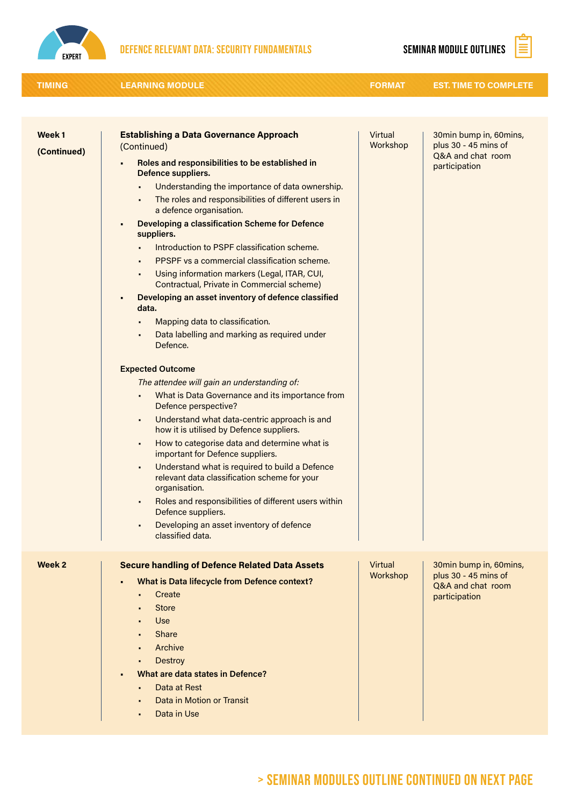

# DEFENCE RELEVANT DATA: SECURITY FUNDAMENTALS SEMINAR MODULE OUTLINES  $\boxed{\mathbf{\hat{\Xi}}}$

| <b>TIMING</b>                    | <b>LEARNING MODULE</b>                                                                                                                                                                                                                                                                                                                                                                                                                                                                                                                                                                                                                                                                                                                                                                                                                                                                                                                                                                                                                                                                                                                                                                                                                                                                                                                                                                                 | <b>FORMAT</b>       | <b>EST. TIME TO COMPLETE</b>                                                         |
|----------------------------------|--------------------------------------------------------------------------------------------------------------------------------------------------------------------------------------------------------------------------------------------------------------------------------------------------------------------------------------------------------------------------------------------------------------------------------------------------------------------------------------------------------------------------------------------------------------------------------------------------------------------------------------------------------------------------------------------------------------------------------------------------------------------------------------------------------------------------------------------------------------------------------------------------------------------------------------------------------------------------------------------------------------------------------------------------------------------------------------------------------------------------------------------------------------------------------------------------------------------------------------------------------------------------------------------------------------------------------------------------------------------------------------------------------|---------------------|--------------------------------------------------------------------------------------|
|                                  |                                                                                                                                                                                                                                                                                                                                                                                                                                                                                                                                                                                                                                                                                                                                                                                                                                                                                                                                                                                                                                                                                                                                                                                                                                                                                                                                                                                                        |                     |                                                                                      |
| Week <sub>1</sub><br>(Continued) | <b>Establishing a Data Governance Approach</b><br>(Continued)<br>Roles and responsibilities to be established in<br>Defence suppliers.<br>Understanding the importance of data ownership.<br>٠<br>The roles and responsibilities of different users in<br>٠<br>a defence organisation.<br>Developing a classification Scheme for Defence<br>$\blacksquare$<br>suppliers.<br>Introduction to PSPF classification scheme.<br><b>PPSPF</b> vs a commercial classification scheme.<br>Using information markers (Legal, ITAR, CUI,<br>٠<br>Contractual, Private in Commercial scheme)<br>Developing an asset inventory of defence classified<br>$\blacksquare$<br>data.<br>Mapping data to classification.<br>٠<br>Data labelling and marking as required under<br>٠<br>Defence.<br><b>Expected Outcome</b><br>The attendee will gain an understanding of:<br>What is Data Governance and its importance from<br>٠<br>Defence perspective?<br>Understand what data-centric approach is and<br>٠<br>how it is utilised by Defence suppliers.<br>How to categorise data and determine what is<br>٠<br>important for Defence suppliers.<br>Understand what is required to build a Defence<br>٠<br>relevant data classification scheme for your<br>organisation.<br>Roles and responsibilities of different users within<br>Defence suppliers.<br>Developing an asset inventory of defence<br>classified data. | Virtual<br>Workshop | 30min bump in, 60mins,<br>plus 30 - 45 mins of<br>Q&A and chat room<br>participation |
| Week 2                           | <b>Secure handling of Defence Related Data Assets</b><br><b>What is Data lifecycle from Defence context?</b><br>Create<br><b>Store</b><br>Use<br>Share<br>Archive<br><b>Destroy</b><br>٠<br>What are data states in Defence?<br>Data at Rest<br>Data in Motion or Transit<br>Data in Use<br>$\blacksquare$                                                                                                                                                                                                                                                                                                                                                                                                                                                                                                                                                                                                                                                                                                                                                                                                                                                                                                                                                                                                                                                                                             | Virtual<br>Workshop | 30min bump in, 60mins,<br>plus 30 - 45 mins of<br>Q&A and chat room<br>participation |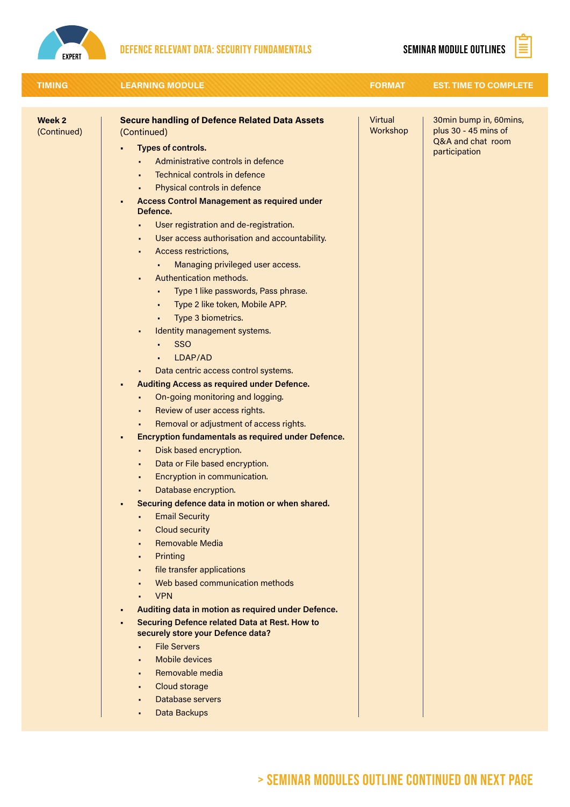

### DEFENCE RELEVANT DATA: SECURITY FUNDAMENTALS SEMINAR MODULE OUTLINES

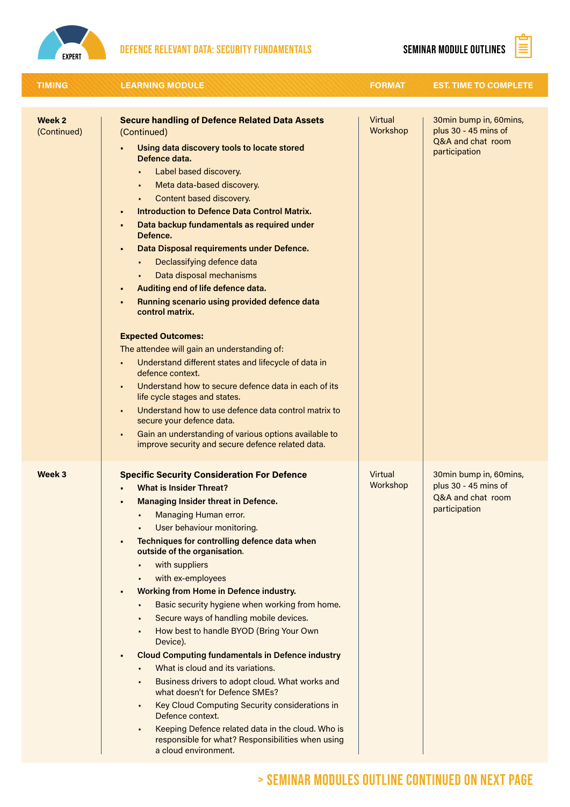

## DEFENCE RELEVANT DATA: SECURITY FUNDAMENTALS SEMINAR MODULE OUTLINES  $\boxed{\mathbf{\mathbf{\mathbf{\mathbb{S}}}}$

| <b>TIMING</b>                    | <b>LEARNING MODULE</b>                                                                                                                                                                                                                                                                                                                                                                                                                                                                                                                                                                                                                                                                                                                                                                                                                                                                                                                                                                                                                                                                             | <b>FORMAT</b>       | <b>EST. TIME TO COMPLETE</b>                                                         |
|----------------------------------|----------------------------------------------------------------------------------------------------------------------------------------------------------------------------------------------------------------------------------------------------------------------------------------------------------------------------------------------------------------------------------------------------------------------------------------------------------------------------------------------------------------------------------------------------------------------------------------------------------------------------------------------------------------------------------------------------------------------------------------------------------------------------------------------------------------------------------------------------------------------------------------------------------------------------------------------------------------------------------------------------------------------------------------------------------------------------------------------------|---------------------|--------------------------------------------------------------------------------------|
| Week <sub>2</sub><br>(Continued) | <b>Secure handling of Defence Related Data Assets</b><br>(Continued)<br>Using data discovery tools to locate stored<br>Defence data.<br>Label based discovery.<br>Meta data-based discovery.<br>Content based discovery.<br>Introduction to Defence Data Control Matrix.<br>$\blacksquare$<br>Data backup fundamentals as required under<br>٠<br>Defence.<br>Data Disposal requirements under Defence.<br>$\blacksquare$<br>Declassifying defence data<br>Data disposal mechanisms<br>Auditing end of life defence data.<br>٠<br>Running scenario using provided defence data<br>٠<br>control matrix.<br><b>Expected Outcomes:</b><br>The attendee will gain an understanding of:<br>Understand different states and lifecycle of data in<br>$\blacksquare$<br>defence context.<br>Understand how to secure defence data in each of its<br>٠<br>life cycle stages and states.<br>Understand how to use defence data control matrix to<br>$\blacksquare$<br>secure your defence data.<br>Gain an understanding of various options available to<br>improve security and secure defence related data. | Virtual<br>Workshop | 30min bump in, 60mins,<br>plus 30 - 45 mins of<br>Q&A and chat room<br>participation |
| Week <sub>3</sub>                | <b>Specific Security Consideration For Defence</b><br><b>What is Insider Threat?</b><br><b>Managing Insider threat in Defence.</b><br>Managing Human error.<br>User behaviour monitoring.<br>Techniques for controlling defence data when<br>٠<br>outside of the organisation.<br>with suppliers<br>with ex-employees<br><b>Working from Home in Defence industry.</b><br>п<br>Basic security hygiene when working from home.<br>Secure ways of handling mobile devices.<br>How best to handle BYOD (Bring Your Own<br>Device).<br><b>Cloud Computing fundamentals in Defence industry</b><br>٠<br>What is cloud and its variations.<br>Business drivers to adopt cloud. What works and<br>what doesn't for Defence SMEs?<br>Key Cloud Computing Security considerations in<br>Defence context.<br>Keeping Defence related data in the cloud. Who is<br>responsible for what? Responsibilities when using<br>a cloud environment.                                                                                                                                                                  | Virtual<br>Workshop | 30min bump in, 60mins,<br>plus 30 - 45 mins of<br>O&A and chat room<br>participation |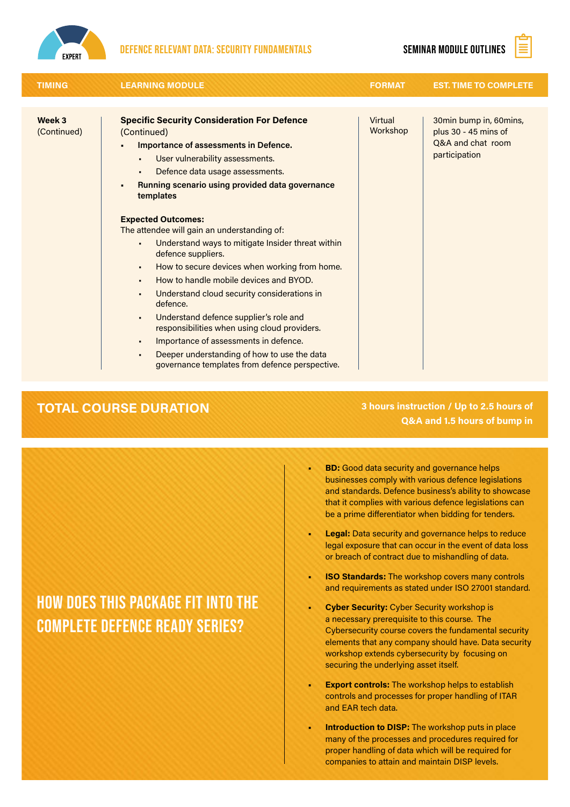

### Defence relevant data: security fundamentals seminar module outlines

Ê

| <b>TIMING</b>         | <b>LEARNING MODULE</b>                                                                                                                                                                                                                                                                                                                                                                                                                                                                                                                                  | <b>FORMAT</b>       | <b>EST. TIME TO COMPLETE</b>                                                         |
|-----------------------|---------------------------------------------------------------------------------------------------------------------------------------------------------------------------------------------------------------------------------------------------------------------------------------------------------------------------------------------------------------------------------------------------------------------------------------------------------------------------------------------------------------------------------------------------------|---------------------|--------------------------------------------------------------------------------------|
|                       |                                                                                                                                                                                                                                                                                                                                                                                                                                                                                                                                                         |                     |                                                                                      |
| Week 3<br>(Continued) | <b>Specific Security Consideration For Defence</b><br>(Continued)<br>Importance of assessments in Defence.<br>User vulnerability assessments.<br>Defence data usage assessments.<br>Running scenario using provided data governance<br>templates                                                                                                                                                                                                                                                                                                        | Virtual<br>Workshop | 30min bump in, 60mins,<br>plus 30 - 45 mins of<br>Q&A and chat room<br>participation |
|                       | <b>Expected Outcomes:</b><br>The attendee will gain an understanding of:<br>Understand ways to mitigate Insider threat within<br>defence suppliers.<br>How to secure devices when working from home.<br>٠<br>How to handle mobile devices and BYOD.<br>Understand cloud security considerations in<br>defence.<br>Understand defence supplier's role and<br>responsibilities when using cloud providers.<br>Importance of assessments in defence.<br>٠<br>Deeper understanding of how to use the data<br>governance templates from defence perspective. |                     |                                                                                      |

### TOTAL COURSE DURATION 3 hours instruction / Up to 2.5 hours of Q&A and 1.5 hours of bump in

- **BD:** Good data security and governance helps businesses comply with various defence legislations and standards. Defence business's ability to showcase that it complies with various defence legislations can be a prime differentiator when bidding for tenders.
- **Legal:** Data security and governance helps to reduce legal exposure that can occur in the event of data loss or breach of contract due to mishandling of data.
- **ISO Standards:** The workshop covers many controls and requirements as stated under ISO 27001 standard.
- Cyber Security: Cyber Security workshop is a necessary prerequisite to this course. The Cybersecurity course covers the fundamental security elements that any company should have. Data security workshop extends cybersecurity by focusing on securing the underlying asset itself.
- **Export controls:** The workshop helps to establish controls and processes for proper handling of ITAR and EAR tech data.
- Introduction to DISP: The workshop puts in place many of the processes and procedures required for proper handling of data which will be required for companies to attain and maintain DISP levels.

## How does this package fit into the complete Defence Ready Series?